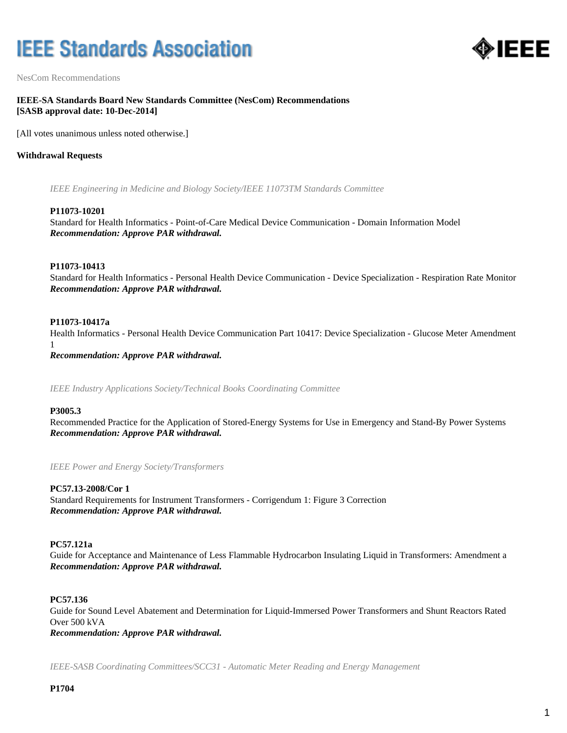# **IEEE Standards Association**



NesCom Recommendations

# **IEEE-SA Standards Board New Standards Committee (NesCom) Recommendations [SASB approval date: 10-Dec-2014]**

[All votes unanimous unless noted otherwise.]

# **Withdrawal Requests**

*IEEE Engineering in Medicine and Biology Society/IEEE 11073TM Standards Committee*

#### **P11073-10201**

Standard for Health Informatics - Point-of-Care Medical Device Communication - Domain Information Model *Recommendation: Approve PAR withdrawal.*

# **P11073-10413**

Standard for Health Informatics - Personal Health Device Communication - Device Specialization - Respiration Rate Monitor *Recommendation: Approve PAR withdrawal.*

#### **P11073-10417a**

Health Informatics - Personal Health Device Communication Part 10417: Device Specialization - Glucose Meter Amendment 1

*Recommendation: Approve PAR withdrawal.*

*IEEE Industry Applications Society/Technical Books Coordinating Committee*

#### **P3005.3**

Recommended Practice for the Application of Stored-Energy Systems for Use in Emergency and Stand-By Power Systems *Recommendation: Approve PAR withdrawal.*

*IEEE Power and Energy Society/Transformers*

# **PC57.13-2008/Cor 1** Standard Requirements for Instrument Transformers - Corrigendum 1: Figure 3 Correction *Recommendation: Approve PAR withdrawal.*

#### **PC57.121a**

Guide for Acceptance and Maintenance of Less Flammable Hydrocarbon Insulating Liquid in Transformers: Amendment a *Recommendation: Approve PAR withdrawal.*

#### **PC57.136**

Guide for Sound Level Abatement and Determination for Liquid-Immersed Power Transformers and Shunt Reactors Rated Over 500 kVA

*Recommendation: Approve PAR withdrawal.*

*IEEE-SASB Coordinating Committees/SCC31 - Automatic Meter Reading and Energy Management*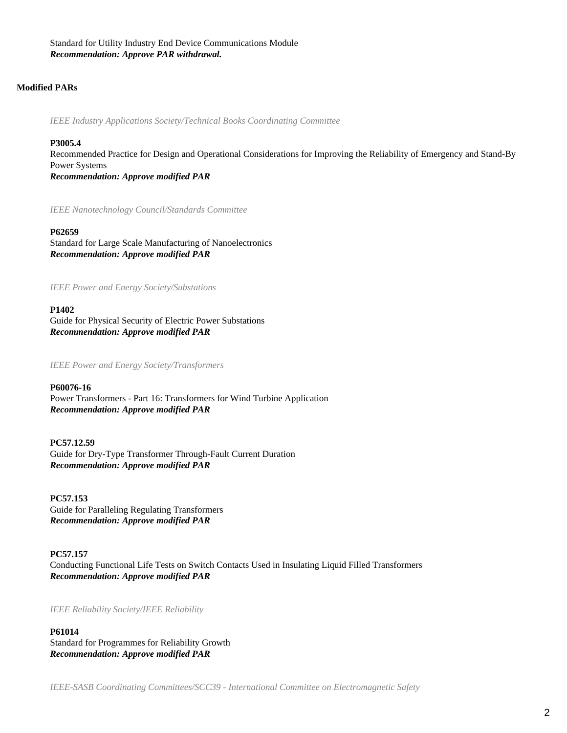Standard for Utility Industry End Device Communications Module *Recommendation: Approve PAR withdrawal.*

# **Modified PARs**

*IEEE Industry Applications Society/Technical Books Coordinating Committee*

#### **P3005.4**

Recommended Practice for Design and Operational Considerations for Improving the Reliability of Emergency and Stand-By Power Systems *Recommendation: Approve modified PAR*

*IEEE Nanotechnology Council/Standards Committee*

#### **P62659**

Standard for Large Scale Manufacturing of Nanoelectronics *Recommendation: Approve modified PAR*

*IEEE Power and Energy Society/Substations*

#### **P1402**

Guide for Physical Security of Electric Power Substations *Recommendation: Approve modified PAR*

*IEEE Power and Energy Society/Transformers*

**P60076-16** Power Transformers - Part 16: Transformers for Wind Turbine Application *Recommendation: Approve modified PAR*

**PC57.12.59** Guide for Dry-Type Transformer Through-Fault Current Duration *Recommendation: Approve modified PAR*

**PC57.153** Guide for Paralleling Regulating Transformers *Recommendation: Approve modified PAR*

#### **PC57.157**

Conducting Functional Life Tests on Switch Contacts Used in Insulating Liquid Filled Transformers *Recommendation: Approve modified PAR*

*IEEE Reliability Society/IEEE Reliability*

# **P61014**

Standard for Programmes for Reliability Growth *Recommendation: Approve modified PAR*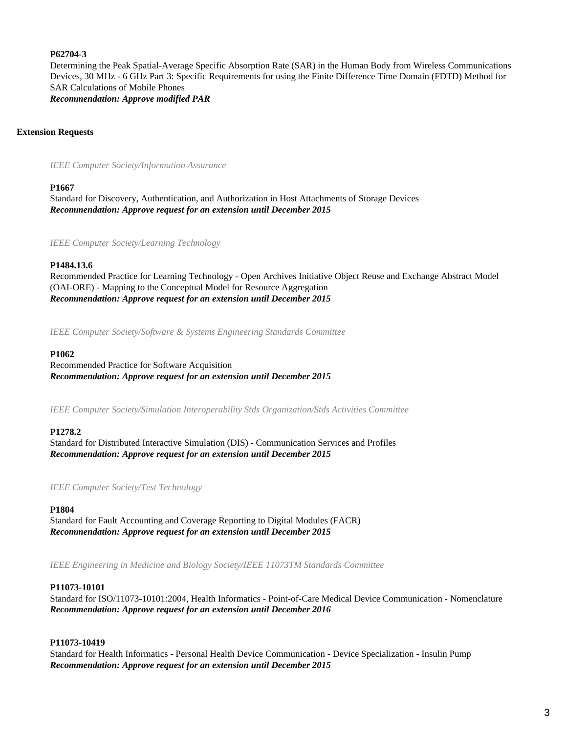# **P62704-3**

Determining the Peak Spatial-Average Specific Absorption Rate (SAR) in the Human Body from Wireless Communications Devices, 30 MHz - 6 GHz Part 3: Specific Requirements for using the Finite Difference Time Domain (FDTD) Method for SAR Calculations of Mobile Phones *Recommendation: Approve modified PAR*

# **Extension Requests**

*IEEE Computer Society/Information Assurance*

#### **P1667**

Standard for Discovery, Authentication, and Authorization in Host Attachments of Storage Devices *Recommendation: Approve request for an extension until December 2015*

*IEEE Computer Society/Learning Technology*

# **P1484.13.6**

Recommended Practice for Learning Technology - Open Archives Initiative Object Reuse and Exchange Abstract Model (OAI-ORE) - Mapping to the Conceptual Model for Resource Aggregation *Recommendation: Approve request for an extension until December 2015*

*IEEE Computer Society/Software & Systems Engineering Standards Committee*

#### **P1062**

Recommended Practice for Software Acquisition *Recommendation: Approve request for an extension until December 2015*

*IEEE Computer Society/Simulation Interoperability Stds Organization/Stds Activities Committee*

#### **P1278.2**

Standard for Distributed Interactive Simulation (DIS) - Communication Services and Profiles *Recommendation: Approve request for an extension until December 2015*

*IEEE Computer Society/Test Technology*

#### **P1804**

Standard for Fault Accounting and Coverage Reporting to Digital Modules (FACR) *Recommendation: Approve request for an extension until December 2015*

*IEEE Engineering in Medicine and Biology Society/IEEE 11073TM Standards Committee*

# **P11073-10101**

Standard for ISO/11073-10101:2004, Health Informatics - Point-of-Care Medical Device Communication - Nomenclature *Recommendation: Approve request for an extension until December 2016*

#### **P11073-10419**

Standard for Health Informatics - Personal Health Device Communication - Device Specialization - Insulin Pump *Recommendation: Approve request for an extension until December 2015*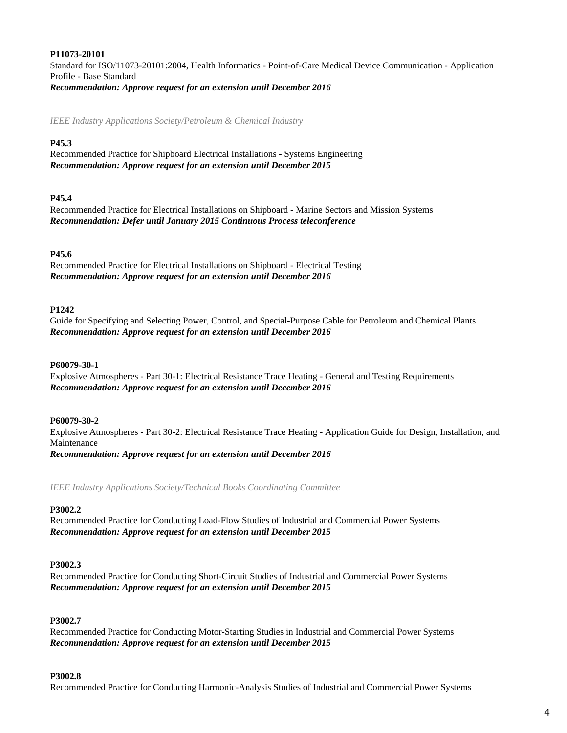**P11073-20101** Standard for ISO/11073-20101:2004, Health Informatics - Point-of-Care Medical Device Communication - Application Profile - Base Standard *Recommendation: Approve request for an extension until December 2016*

*IEEE Industry Applications Society/Petroleum & Chemical Industry*

# **P45.3**

Recommended Practice for Shipboard Electrical Installations - Systems Engineering *Recommendation: Approve request for an extension until December 2015*

# **P45.4**

Recommended Practice for Electrical Installations on Shipboard - Marine Sectors and Mission Systems *Recommendation: Defer until January 2015 Continuous Process teleconference*

# **P45.6**

Recommended Practice for Electrical Installations on Shipboard - Electrical Testing *Recommendation: Approve request for an extension until December 2016*

# **P1242**

Guide for Specifying and Selecting Power, Control, and Special-Purpose Cable for Petroleum and Chemical Plants *Recommendation: Approve request for an extension until December 2016*

#### **P60079-30-1**

Explosive Atmospheres - Part 30-1: Electrical Resistance Trace Heating - General and Testing Requirements *Recommendation: Approve request for an extension until December 2016*

#### **P60079-30-2**

Explosive Atmospheres - Part 30-2: Electrical Resistance Trace Heating - Application Guide for Design, Installation, and Maintenance *Recommendation: Approve request for an extension until December 2016*

*IEEE Industry Applications Society/Technical Books Coordinating Committee*

#### **P3002.2**

Recommended Practice for Conducting Load-Flow Studies of Industrial and Commercial Power Systems *Recommendation: Approve request for an extension until December 2015*

#### **P3002.3**

Recommended Practice for Conducting Short-Circuit Studies of Industrial and Commercial Power Systems *Recommendation: Approve request for an extension until December 2015*

# **P3002.7**

Recommended Practice for Conducting Motor-Starting Studies in Industrial and Commercial Power Systems *Recommendation: Approve request for an extension until December 2015*

#### **P3002.8**

Recommended Practice for Conducting Harmonic-Analysis Studies of Industrial and Commercial Power Systems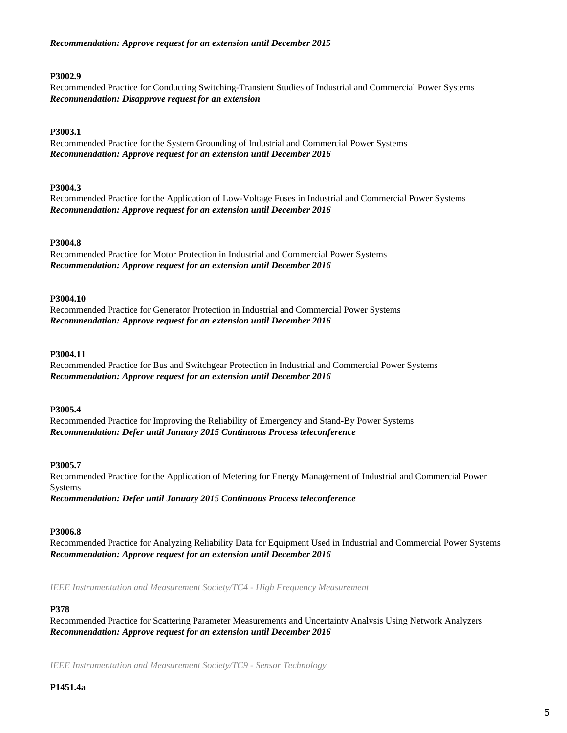# **P3002.9**

Recommended Practice for Conducting Switching-Transient Studies of Industrial and Commercial Power Systems *Recommendation: Disapprove request for an extension*

# **P3003.1**

Recommended Practice for the System Grounding of Industrial and Commercial Power Systems *Recommendation: Approve request for an extension until December 2016*

# **P3004.3**

Recommended Practice for the Application of Low-Voltage Fuses in Industrial and Commercial Power Systems *Recommendation: Approve request for an extension until December 2016*

# **P3004.8**

Recommended Practice for Motor Protection in Industrial and Commercial Power Systems *Recommendation: Approve request for an extension until December 2016*

# **P3004.10**

Recommended Practice for Generator Protection in Industrial and Commercial Power Systems *Recommendation: Approve request for an extension until December 2016*

# **P3004.11**

Recommended Practice for Bus and Switchgear Protection in Industrial and Commercial Power Systems *Recommendation: Approve request for an extension until December 2016*

# **P3005.4**

Recommended Practice for Improving the Reliability of Emergency and Stand-By Power Systems *Recommendation: Defer until January 2015 Continuous Process teleconference*

# **P3005.7**

Recommended Practice for the Application of Metering for Energy Management of Industrial and Commercial Power Systems *Recommendation: Defer until January 2015 Continuous Process teleconference*

# **P3006.8**

Recommended Practice for Analyzing Reliability Data for Equipment Used in Industrial and Commercial Power Systems *Recommendation: Approve request for an extension until December 2016*

*IEEE Instrumentation and Measurement Society/TC4 - High Frequency Measurement*

# **P378**

Recommended Practice for Scattering Parameter Measurements and Uncertainty Analysis Using Network Analyzers *Recommendation: Approve request for an extension until December 2016*

*IEEE Instrumentation and Measurement Society/TC9 - Sensor Technology*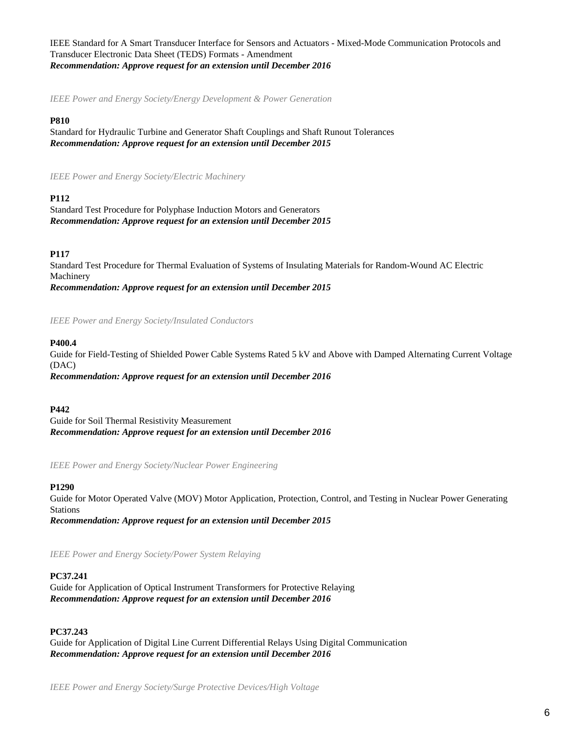IEEE Standard for A Smart Transducer Interface for Sensors and Actuators - Mixed-Mode Communication Protocols and Transducer Electronic Data Sheet (TEDS) Formats - Amendment *Recommendation: Approve request for an extension until December 2016*

*IEEE Power and Energy Society/Energy Development & Power Generation*

## **P810**

Standard for Hydraulic Turbine and Generator Shaft Couplings and Shaft Runout Tolerances *Recommendation: Approve request for an extension until December 2015*

*IEEE Power and Energy Society/Electric Machinery*

# **P112**

Standard Test Procedure for Polyphase Induction Motors and Generators *Recommendation: Approve request for an extension until December 2015*

# **P117**

Standard Test Procedure for Thermal Evaluation of Systems of Insulating Materials for Random-Wound AC Electric Machinery *Recommendation: Approve request for an extension until December 2015*

#### *IEEE Power and Energy Society/Insulated Conductors*

#### **P400.4**

Guide for Field-Testing of Shielded Power Cable Systems Rated 5 kV and Above with Damped Alternating Current Voltage (DAC) *Recommendation: Approve request for an extension until December 2016*

#### **P442**

Guide for Soil Thermal Resistivity Measurement *Recommendation: Approve request for an extension until December 2016*

*IEEE Power and Energy Society/Nuclear Power Engineering*

#### **P1290**

Guide for Motor Operated Valve (MOV) Motor Application, Protection, Control, and Testing in Nuclear Power Generating Stations *Recommendation: Approve request for an extension until December 2015*

*IEEE Power and Energy Society/Power System Relaying*

# **PC37.241**

Guide for Application of Optical Instrument Transformers for Protective Relaying *Recommendation: Approve request for an extension until December 2016*

# **PC37.243**

Guide for Application of Digital Line Current Differential Relays Using Digital Communication *Recommendation: Approve request for an extension until December 2016*

*IEEE Power and Energy Society/Surge Protective Devices/High Voltage*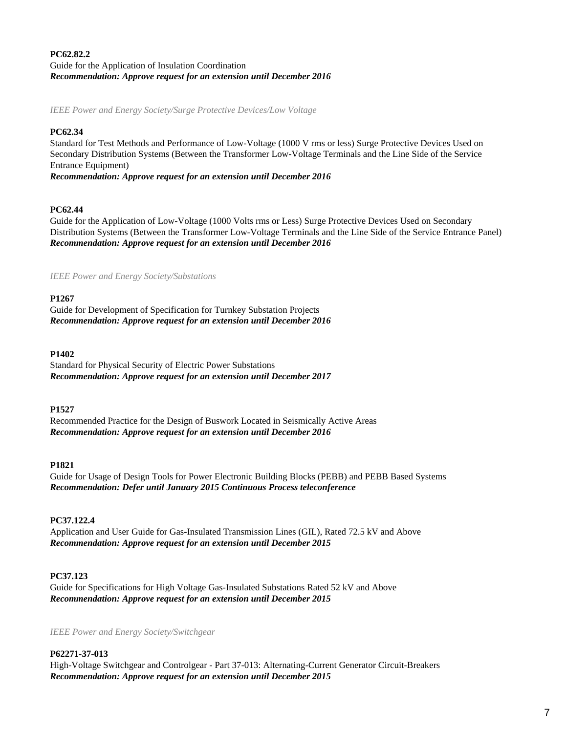# **PC62.82.2** Guide for the Application of Insulation Coordination *Recommendation: Approve request for an extension until December 2016*

*IEEE Power and Energy Society/Surge Protective Devices/Low Voltage*

# **PC62.34**

Standard for Test Methods and Performance of Low-Voltage (1000 V rms or less) Surge Protective Devices Used on Secondary Distribution Systems (Between the Transformer Low-Voltage Terminals and the Line Side of the Service Entrance Equipment)

*Recommendation: Approve request for an extension until December 2016*

# **PC62.44**

Guide for the Application of Low-Voltage (1000 Volts rms or Less) Surge Protective Devices Used on Secondary Distribution Systems (Between the Transformer Low-Voltage Terminals and the Line Side of the Service Entrance Panel) *Recommendation: Approve request for an extension until December 2016*

*IEEE Power and Energy Society/Substations*

# **P1267**

Guide for Development of Specification for Turnkey Substation Projects *Recommendation: Approve request for an extension until December 2016*

# **P1402**

Standard for Physical Security of Electric Power Substations *Recommendation: Approve request for an extension until December 2017*

# **P1527**

Recommended Practice for the Design of Buswork Located in Seismically Active Areas *Recommendation: Approve request for an extension until December 2016*

# **P1821**

Guide for Usage of Design Tools for Power Electronic Building Blocks (PEBB) and PEBB Based Systems *Recommendation: Defer until January 2015 Continuous Process teleconference*

# **PC37.122.4**

Application and User Guide for Gas-Insulated Transmission Lines (GIL), Rated 72.5 kV and Above *Recommendation: Approve request for an extension until December 2015*

# **PC37.123**

Guide for Specifications for High Voltage Gas-Insulated Substations Rated 52 kV and Above *Recommendation: Approve request for an extension until December 2015*

*IEEE Power and Energy Society/Switchgear*

# **P62271-37-013**

High-Voltage Switchgear and Controlgear - Part 37-013: Alternating-Current Generator Circuit-Breakers *Recommendation: Approve request for an extension until December 2015*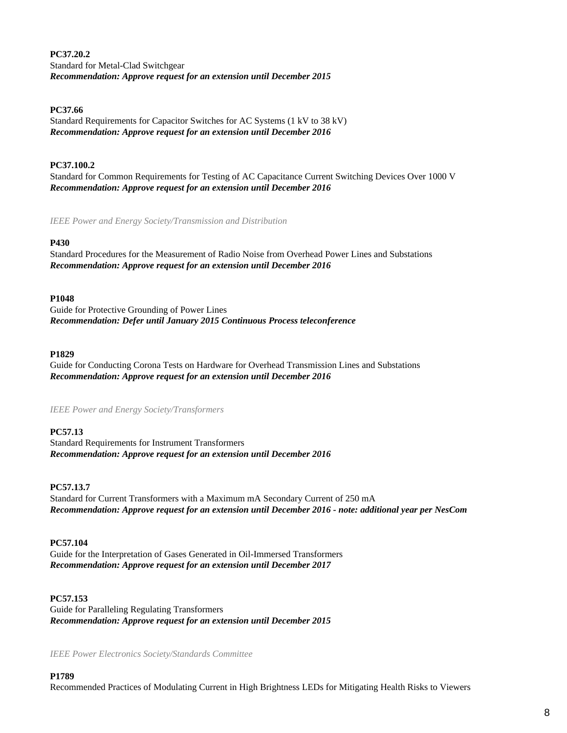**PC37.20.2** Standard for Metal-Clad Switchgear *Recommendation: Approve request for an extension until December 2015*

# **PC37.66**

Standard Requirements for Capacitor Switches for AC Systems (1 kV to 38 kV) *Recommendation: Approve request for an extension until December 2016*

# **PC37.100.2**

Standard for Common Requirements for Testing of AC Capacitance Current Switching Devices Over 1000 V *Recommendation: Approve request for an extension until December 2016*

*IEEE Power and Energy Society/Transmission and Distribution*

#### **P430**

Standard Procedures for the Measurement of Radio Noise from Overhead Power Lines and Substations *Recommendation: Approve request for an extension until December 2016*

#### **P1048**

Guide for Protective Grounding of Power Lines *Recommendation: Defer until January 2015 Continuous Process teleconference*

#### **P1829**

Guide for Conducting Corona Tests on Hardware for Overhead Transmission Lines and Substations *Recommendation: Approve request for an extension until December 2016*

*IEEE Power and Energy Society/Transformers*

#### **PC57.13**

Standard Requirements for Instrument Transformers *Recommendation: Approve request for an extension until December 2016*

# **PC57.13.7**

Standard for Current Transformers with a Maximum mA Secondary Current of 250 mA *Recommendation: Approve request for an extension until December 2016 - note: additional year per NesCom*

#### **PC57.104**

Guide for the Interpretation of Gases Generated in Oil-Immersed Transformers *Recommendation: Approve request for an extension until December 2017*

#### **PC57.153**

Guide for Paralleling Regulating Transformers *Recommendation: Approve request for an extension until December 2015*

*IEEE Power Electronics Society/Standards Committee*

#### **P1789**

Recommended Practices of Modulating Current in High Brightness LEDs for Mitigating Health Risks to Viewers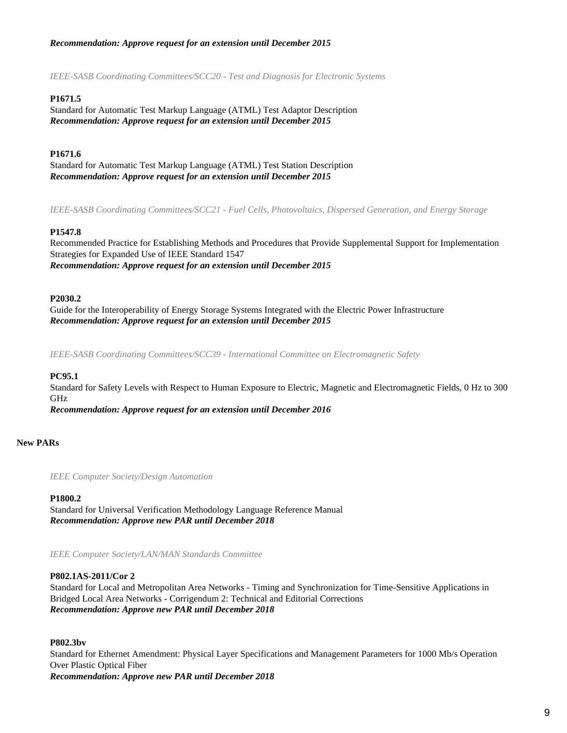# *Recommendation: Approve request for an extension until December 2015*

*IEEE-SASB Coordinating Committees/SCC20 - Test and Diagnosis for Electronic Systems*

# **P1671.5**

Standard for Automatic Test Markup Language (ATML) Test Adaptor Description *Recommendation: Approve request for an extension until December 2015*

# **P1671.6**

Standard for Automatic Test Markup Language (ATML) Test Station Description *Recommendation: Approve request for an extension until December 2015*

*IEEE-SASB Coordinating Committees/SCC21 - Fuel Cells, Photovoltaics, Dispersed Generation, and Energy Storage*

# **P1547.8**

Recommended Practice for Establishing Methods and Procedures that Provide Supplemental Support for Implementation Strategies for Expanded Use of IEEE Standard 1547 *Recommendation: Approve request for an extension until December 2015*

#### **P2030.2**

Guide for the Interoperability of Energy Storage Systems Integrated with the Electric Power Infrastructure *Recommendation: Approve request for an extension until December 2015*

*IEEE-SASB Coordinating Committees/SCC39 - International Committee on Electromagnetic Safety*

#### **PC95.1**

Standard for Safety Levels with Respect to Human Exposure to Electric, Magnetic and Electromagnetic Fields, 0 Hz to 300 GHz

*Recommendation: Approve request for an extension until December 2016*

# **New PARs**

*IEEE Computer Society/Design Automation*

#### **P1800.2**

Standard for Universal Verification Methodology Language Reference Manual *Recommendation: Approve new PAR until December 2018*

*IEEE Computer Society/LAN/MAN Standards Committee*

# **P802.1AS-2011/Cor 2**

Standard for Local and Metropolitan Area Networks - Timing and Synchronization for Time-Sensitive Applications in Bridged Local Area Networks - Corrigendum 2: Technical and Editorial Corrections *Recommendation: Approve new PAR until December 2018*

#### **P802.3bv**

Standard for Ethernet Amendment: Physical Layer Specifications and Management Parameters for 1000 Mb/s Operation Over Plastic Optical Fiber *Recommendation: Approve new PAR until December 2018*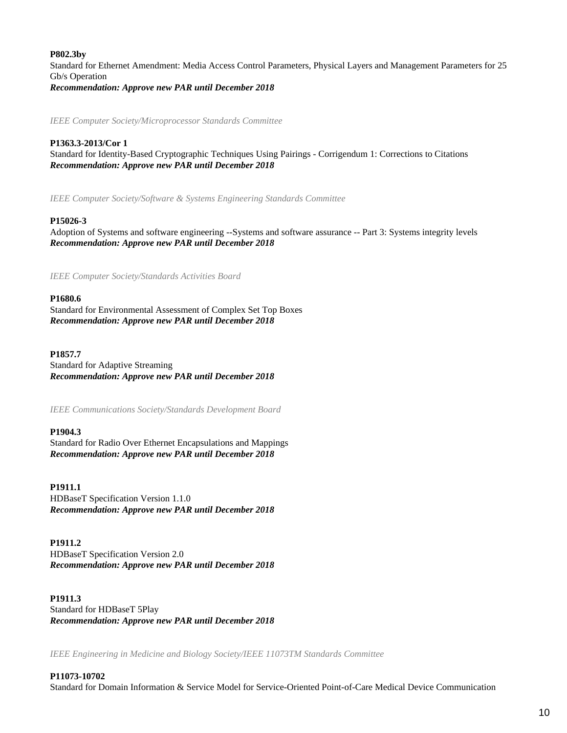**P802.3by** Standard for Ethernet Amendment: Media Access Control Parameters, Physical Layers and Management Parameters for 25 Gb/s Operation *Recommendation: Approve new PAR until December 2018*

*IEEE Computer Society/Microprocessor Standards Committee*

# **P1363.3-2013/Cor 1**

Standard for Identity-Based Cryptographic Techniques Using Pairings - Corrigendum 1: Corrections to Citations *Recommendation: Approve new PAR until December 2018*

*IEEE Computer Society/Software & Systems Engineering Standards Committee*

#### **P15026-3**

Adoption of Systems and software engineering --Systems and software assurance -- Part 3: Systems integrity levels *Recommendation: Approve new PAR until December 2018*

*IEEE Computer Society/Standards Activities Board*

#### **P1680.6**

Standard for Environmental Assessment of Complex Set Top Boxes *Recommendation: Approve new PAR until December 2018*

**P1857.7** Standard for Adaptive Streaming *Recommendation: Approve new PAR until December 2018*

*IEEE Communications Society/Standards Development Board*

#### **P1904.3**

Standard for Radio Over Ethernet Encapsulations and Mappings *Recommendation: Approve new PAR until December 2018*

**P1911.1** HDBaseT Specification Version 1.1.0 *Recommendation: Approve new PAR until December 2018*

**P1911.2** HDBaseT Specification Version 2.0 *Recommendation: Approve new PAR until December 2018*

**P1911.3** Standard for HDBaseT 5Play *Recommendation: Approve new PAR until December 2018*

*IEEE Engineering in Medicine and Biology Society/IEEE 11073TM Standards Committee*

# **P11073-10702** Standard for Domain Information & Service Model for Service-Oriented Point-of-Care Medical Device Communication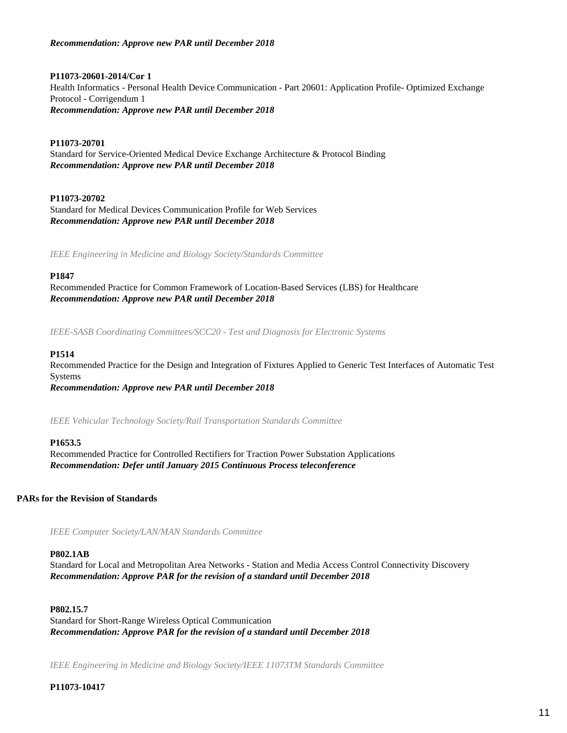# *Recommendation: Approve new PAR until December 2018*

**P11073-20601-2014/Cor 1** Health Informatics - Personal Health Device Communication - Part 20601: Application Profile- Optimized Exchange Protocol - Corrigendum 1 *Recommendation: Approve new PAR until December 2018*

# **P11073-20701**

Standard for Service-Oriented Medical Device Exchange Architecture & Protocol Binding *Recommendation: Approve new PAR until December 2018*

# **P11073-20702**

Standard for Medical Devices Communication Profile for Web Services *Recommendation: Approve new PAR until December 2018*

*IEEE Engineering in Medicine and Biology Society/Standards Committee*

#### **P1847**

Recommended Practice for Common Framework of Location-Based Services (LBS) for Healthcare *Recommendation: Approve new PAR until December 2018*

*IEEE-SASB Coordinating Committees/SCC20 - Test and Diagnosis for Electronic Systems*

# **P1514**

Recommended Practice for the Design and Integration of Fixtures Applied to Generic Test Interfaces of Automatic Test Systems

*Recommendation: Approve new PAR until December 2018*

*IEEE Vehicular Technology Society/Rail Transportation Standards Committee*

#### **P1653.5**

Recommended Practice for Controlled Rectifiers for Traction Power Substation Applications *Recommendation: Defer until January 2015 Continuous Process teleconference*

# **PARs for the Revision of Standards**

*IEEE Computer Society/LAN/MAN Standards Committee*

# **P802.1AB**

Standard for Local and Metropolitan Area Networks - Station and Media Access Control Connectivity Discovery *Recommendation: Approve PAR for the revision of a standard until December 2018*

# **P802.15.7**

Standard for Short-Range Wireless Optical Communication *Recommendation: Approve PAR for the revision of a standard until December 2018*

*IEEE Engineering in Medicine and Biology Society/IEEE 11073TM Standards Committee*

# **P11073-10417**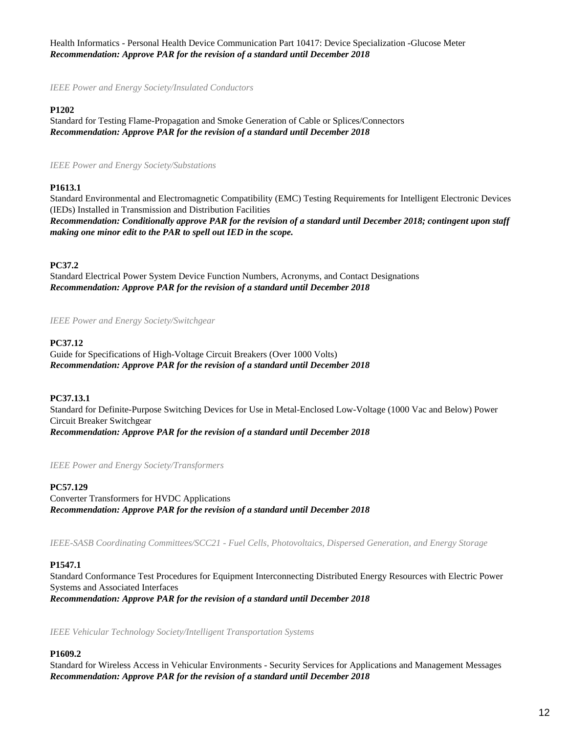Health Informatics - Personal Health Device Communication Part 10417: Device Specialization -Glucose Meter *Recommendation: Approve PAR for the revision of a standard until December 2018*

*IEEE Power and Energy Society/Insulated Conductors*

# **P1202**

Standard for Testing Flame-Propagation and Smoke Generation of Cable or Splices/Connectors *Recommendation: Approve PAR for the revision of a standard until December 2018*

*IEEE Power and Energy Society/Substations*

# **P1613.1**

Standard Environmental and Electromagnetic Compatibility (EMC) Testing Requirements for Intelligent Electronic Devices (IEDs) Installed in Transmission and Distribution Facilities *Recommendation: Conditionally approve PAR for the revision of a standard until December 2018; contingent upon staff making one minor edit to the PAR to spell out IED in the scope.*

# **PC37.2**

Standard Electrical Power System Device Function Numbers, Acronyms, and Contact Designations *Recommendation: Approve PAR for the revision of a standard until December 2018*

*IEEE Power and Energy Society/Switchgear*

# **PC37.12**

Guide for Specifications of High-Voltage Circuit Breakers (Over 1000 Volts) *Recommendation: Approve PAR for the revision of a standard until December 2018*

# **PC37.13.1**

Standard for Definite-Purpose Switching Devices for Use in Metal-Enclosed Low-Voltage (1000 Vac and Below) Power Circuit Breaker Switchgear *Recommendation: Approve PAR for the revision of a standard until December 2018*

*IEEE Power and Energy Society/Transformers*

#### **PC57.129**

Converter Transformers for HVDC Applications *Recommendation: Approve PAR for the revision of a standard until December 2018*

*IEEE-SASB Coordinating Committees/SCC21 - Fuel Cells, Photovoltaics, Dispersed Generation, and Energy Storage*

# **P1547.1**

Standard Conformance Test Procedures for Equipment Interconnecting Distributed Energy Resources with Electric Power Systems and Associated Interfaces *Recommendation: Approve PAR for the revision of a standard until December 2018*

*IEEE Vehicular Technology Society/Intelligent Transportation Systems*

# **P1609.2**

Standard for Wireless Access in Vehicular Environments - Security Services for Applications and Management Messages *Recommendation: Approve PAR for the revision of a standard until December 2018*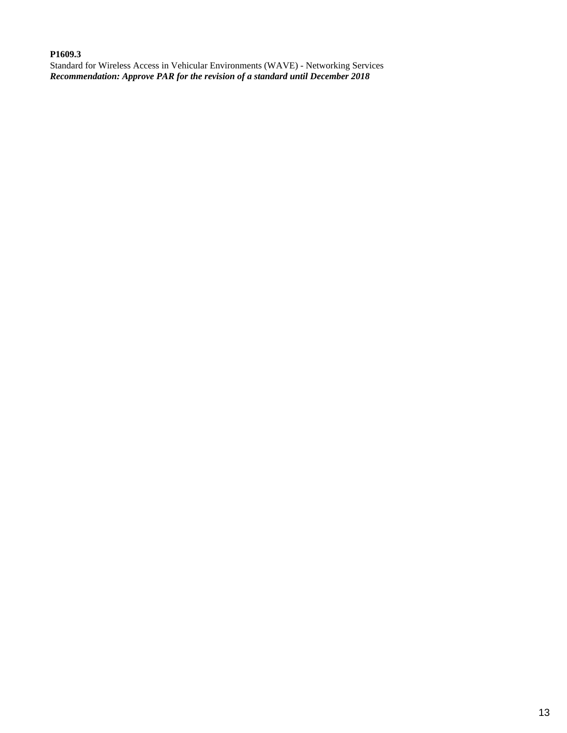# **P1609.3**

Standard for Wireless Access in Vehicular Environments (WAVE) - Networking Services *Recommendation: Approve PAR for the revision of a standard until December 2018*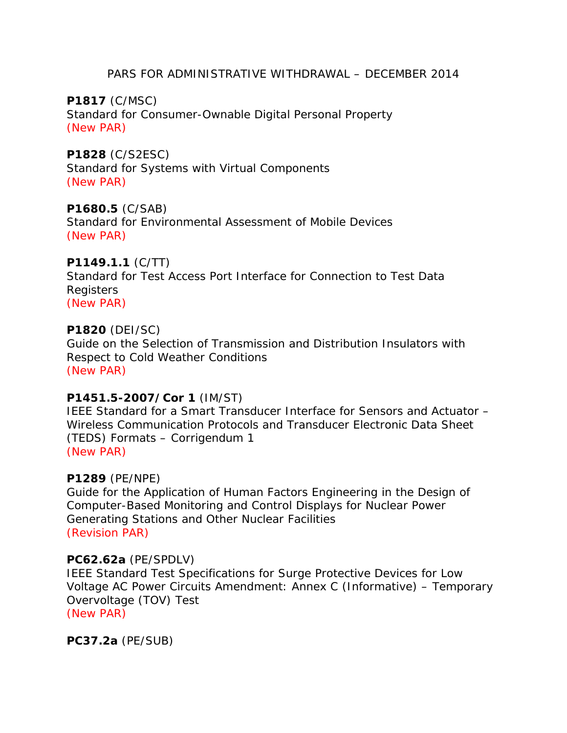PARS FOR ADMINISTRATIVE WITHDRAWAL – DECEMBER 2014

**P1817** (C/MSC) Standard for Consumer-Ownable Digital Personal Property (New PAR)

**P1828** (C/S2ESC) Standard for Systems with Virtual Components (New PAR)

**P1680.5** (C/SAB) Standard for Environmental Assessment of Mobile Devices (New PAR)

# **P1149.1.1** (C/TT)

Standard for Test Access Port Interface for Connection to Test Data Registers

(New PAR)

# **P1820** (DEI/SC)

Guide on the Selection of Transmission and Distribution Insulators with Respect to Cold Weather Conditions (New PAR)

# **P1451.5-2007/Cor 1** (IM/ST)

IEEE Standard for a Smart Transducer Interface for Sensors and Actuator – Wireless Communication Protocols and Transducer Electronic Data Sheet (TEDS) Formats – Corrigendum 1 (New PAR)

# **P1289** (PE/NPE)

Guide for the Application of Human Factors Engineering in the Design of Computer-Based Monitoring and Control Displays for Nuclear Power Generating Stations and Other Nuclear Facilities (Revision PAR)

# **PC62.62a** (PE/SPDLV)

IEEE Standard Test Specifications for Surge Protective Devices for Low Voltage AC Power Circuits Amendment: Annex C (Informative) – Temporary Overvoltage (TOV) Test (New PAR)

**PC37.2a** (PE/SUB)